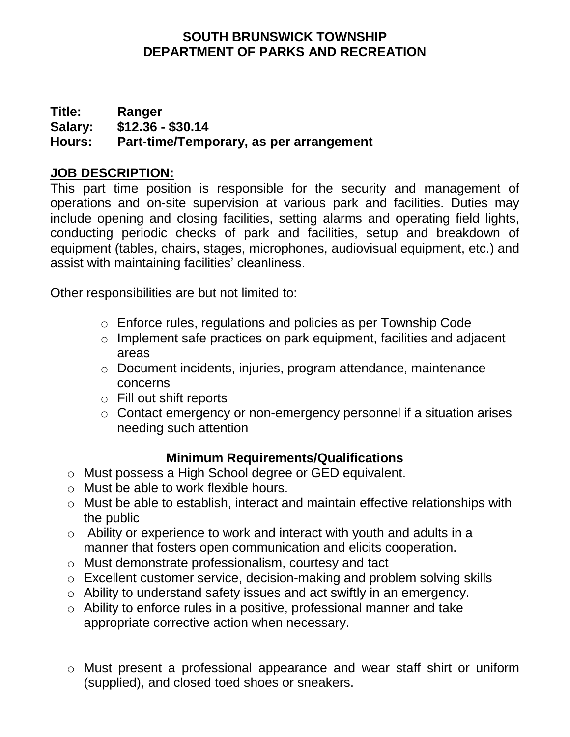#### **SOUTH BRUNSWICK TOWNSHIP DEPARTMENT OF PARKS AND RECREATION**

#### **Title: Ranger Salary: \$12.36 - \$30.14 Hours: Part-time/Temporary, as per arrangement**

## **JOB DESCRIPTION:**

This part time position is responsible for the security and management of operations and on-site supervision at various park and facilities. Duties may include opening and closing facilities, setting alarms and operating field lights, conducting periodic checks of park and facilities, setup and breakdown of equipment (tables, chairs, stages, microphones, audiovisual equipment, etc.) and assist with maintaining facilities' cleanliness.

Other responsibilities are but not limited to:

- o Enforce rules, regulations and policies as per Township Code
- o Implement safe practices on park equipment, facilities and adjacent areas
- o Document incidents, injuries, program attendance, maintenance concerns
- o Fill out shift reports
- o Contact emergency or non-emergency personnel if a situation arises needing such attention

# **Minimum Requirements/Qualifications**

- o Must possess a High School degree or GED equivalent.
- o Must be able to work flexible hours.
- o Must be able to establish, interact and maintain effective relationships with the public
- o Ability or experience to work and interact with youth and adults in a manner that fosters open communication and elicits cooperation.
- o Must demonstrate professionalism, courtesy and tact
- o Excellent customer service, decision-making and problem solving skills
- o Ability to understand safety issues and act swiftly in an emergency.
- o Ability to enforce rules in a positive, professional manner and take appropriate corrective action when necessary.
- o Must present a professional appearance and wear staff shirt or uniform (supplied), and closed toed shoes or sneakers.